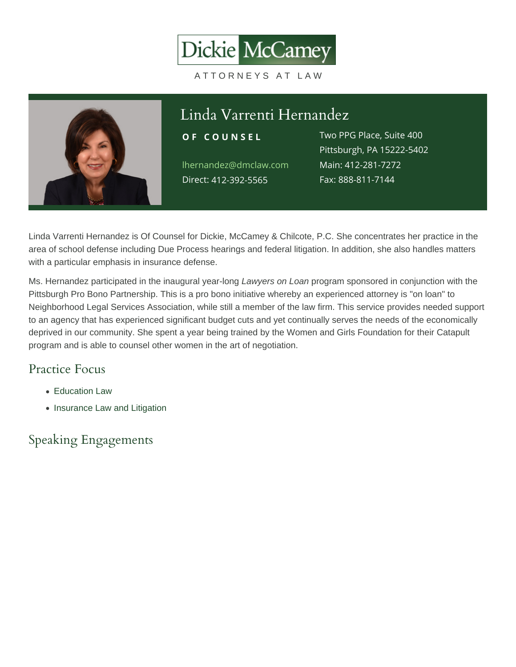#### Linda Varrenti Hernandez OF COUNSEL Two PPG Place, Suite 400 lhernandez@dmclaw.c**Main4:12-281-7272** Direc4t12-392-5565 Pittsburgh, PA 15222-5402 Fax: 888-811-7144

Linda Varrenti Hernandez is Of Counsel for Dickie, McCamey & Chilcote, P.C. She concentrates her practice in the area of school defense including Due Process hearings and federal litigation. In addition, she also handles matters with a particular emphasis in insurance defense.

Ms. Hernandez participated in the inaugural year-long Lawyers on Loan program sponsored in conjunction with the Pittsburgh Pro Bono Partnership. This is a pro bono initiative whereby an experienced attorney is "on loan" to Neighborhood Legal Services Association, while still a member of the law firm. This service provides needed support to an agency that has experienced significant budget cuts and yet continually serves the needs of the economically deprived in our community. She spent a year being trained by the Women and Girls Foundation for their Catapult program and is able to counsel other women in the art of negotiation.

# Practice Focus

- [Education Law](https://www.dmclaw.com/practices/education-law/)
- [Insurance Law and Litigation](https://www.dmclaw.com/practices/insurance-law-and-litigation/)

### Speaking Engagements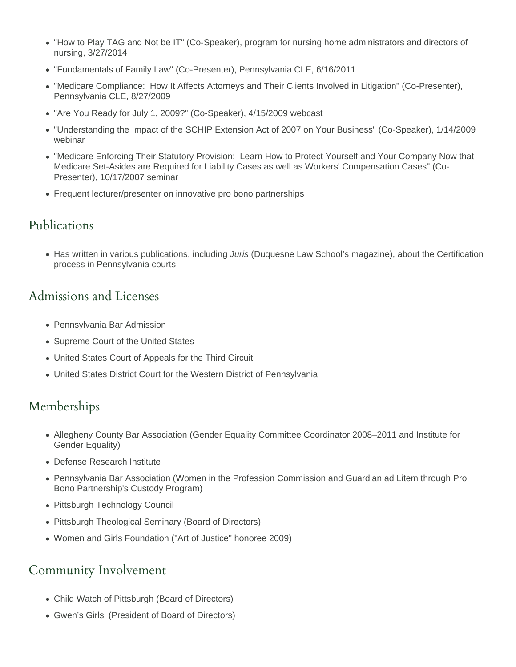- "How to Play TAG and Not be IT" (Co-Speaker), program for nursing home administrators and directors of nursing, 3/27/2014
- "Fundamentals of Family Law" (Co-Presenter), Pennsylvania CLE, 6/16/2011
- "Medicare Compliance: How It Affects Attorneys and Their Clients Involved in Litigation" (Co-Presenter), Pennsylvania CLE, 8/27/2009
- "Are You Ready for July 1, 2009?" (Co-Speaker), 4/15/2009 webcast
- "Understanding the Impact of the SCHIP Extension Act of 2007 on Your Business" (Co-Speaker), 1/14/2009 webinar
- "Medicare Enforcing Their Statutory Provision: Learn How to Protect Yourself and Your Company Now that Medicare Set-Asides are Required for Liability Cases as well as Workers' Compensation Cases" (Co-Presenter), 10/17/2007 seminar
- Frequent lecturer/presenter on innovative pro bono partnerships

### Publications

• Has written in various publications, including Juris (Duquesne Law School's magazine), about the Certification process in Pennsylvania courts

## Admissions and Licenses

- Pennsylvania Bar Admission
- Supreme Court of the United States
- United States Court of Appeals for the Third Circuit
- United States District Court for the Western District of Pennsylvania

# Memberships

- Allegheny County Bar Association (Gender Equality Committee Coordinator 2008–2011 and Institute for Gender Equality)
- Defense Research Institute
- Pennsylvania Bar Association (Women in the Profession Commission and Guardian ad Litem through Pro Bono Partnership's Custody Program)
- Pittsburgh Technology Council
- Pittsburgh Theological Seminary (Board of Directors)
- Women and Girls Foundation ("Art of Justice" honoree 2009)

### Community Involvement

- Child Watch of Pittsburgh (Board of Directors)
- Gwen's Girls' (President of Board of Directors)